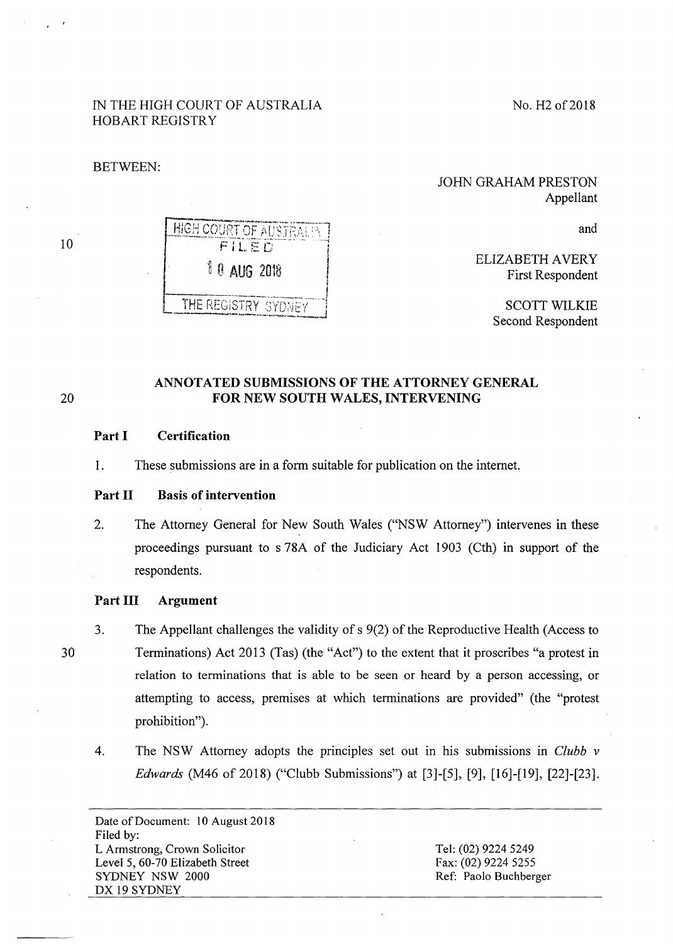No. H<sub>2</sub> of 2018

# IN THE HIGH COURT OF AUSTRALIA HOBART REGISTRY

HIGH COURT OF AUSTRAL!  $F11F$ 

*10 AUG 2018* 

BETWEEN:

## JOHN GRAHAM PRESTON Appellant

and

ELIZABETH A VERY First Respondent

> SCOTT WILKIE Second Respondent

# **ANNOTATED SUBMISSIONS OF THE ATTORNEY GENERAL**  20 **FOR NEW SOUTH WALES, INTERVENING**

## **Part I Certification**

1. These submissions are in a form suitable for publication on the internet.

#### **Part 11 Basis of intervention**

2. The Attorney General for New South Wales ("NSW Attorney") intervenes in these proceedings pursuant to s 78A of the Judiciary Act 1903 (Cth) in support of the respondents.

### **Part Ill Argument**

3. The Appellant challenges the validity of s 9(2) of the Reproductive Health (Access to Terminations) Act 2013 (Tas) (the "Act") to the extent that it proscribes "a protest in relation to terminations that is able to be seen or heard by a person accessing, or attempting to access, premises at which terminations are provided" (the "protest prohibition").

4. The NSW Attorney adopts the principles set out in his submissions in *Clubb v Edwards* (M46 of 2018) ("Clubb Submissions") at [3]-[5], [9], [16]-[19], [22]-[23].

Date of Document: 10 August 2018 Filed by: L Armstrong, Crown Solicitor Level 5, 60-70 Elizabeth Street SYDNEY NSW 2000 DX 19 SYDNEY

Tel: (02) 9224 5249 Fax: (02) 9224 5255 Ref: Paolo Buchberger

30

THE REGISTRY SYDNEY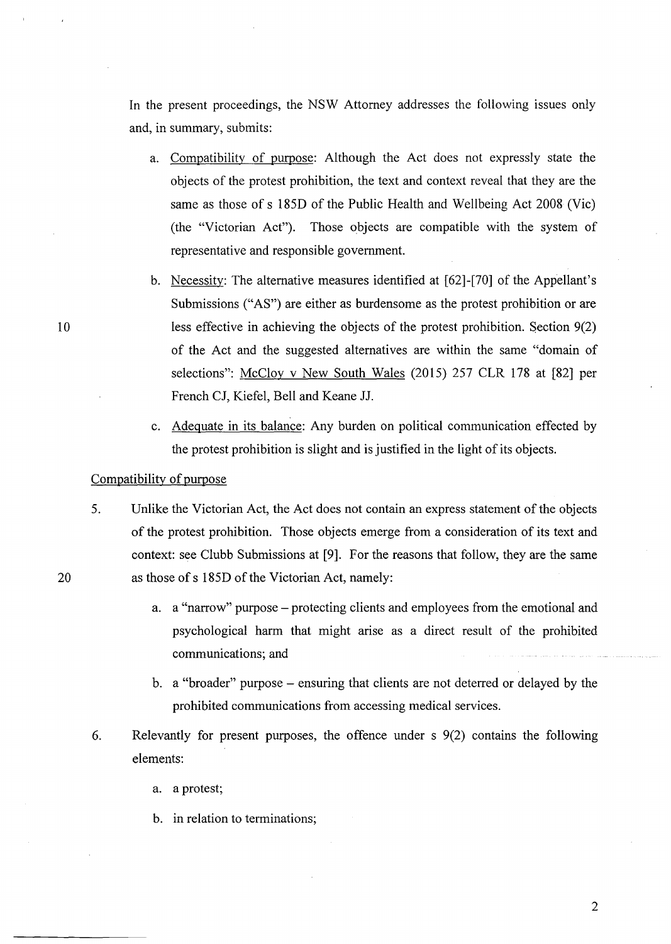In the present proceedings, the NSW Attorney addresses the following issues only and, in summary, submits:

- a. Compatibility of purpose: Although the Act does not expressly state the objects of the protest prohibition, the text and context reveal that they are the same as those of s 185D of the Public Health and Wellbeing Act 2008 (Vie) (the "Victorian Act"). Those objects are compatible with the system of representative and responsible government.
- b. Necessity: The alternative measures identified at [62]-[70] of the Appellant's Submissions ("AS") are either as burdensome as the protest prohibition or are less effective in achieving the objects of the protest prohibition. Section 9(2) of the Act and the suggested alternatives are within the same "domain of selections": McCloy v New South Wales (2015) 257 CLR 178 at [82] per French CJ, Kiefel, Bell and Keane JJ.
- c. Adequate in its balance: Any burden on political communication effected by the protest prohibition is slight and is justified in the light of its objects.

### Compatibility of purpose

10

20

- 5. Unlike the Victorian Act, the Act does not contain an express statement of the objects of the protest prohibition. Those objects emerge from a consideration of its text and context: see Clubb Submissions at [9). For the reasons that follow, they are the same as those of s 185D of the Victorian Act, namely:
	- a. a "narrow" purpose protecting clients and employees from the emotional and psychological harm that might arise as a direct result of the prohibited communications; and
	- b. a "broader" purpose ensuring that clients are not deterred or delayed by the prohibited communications from accessing medical services.
- 6. Relevantly for present purposes, the offence under s 9(2) contains the following elements:
	- a. a protest;
	- b. in relation to terminations;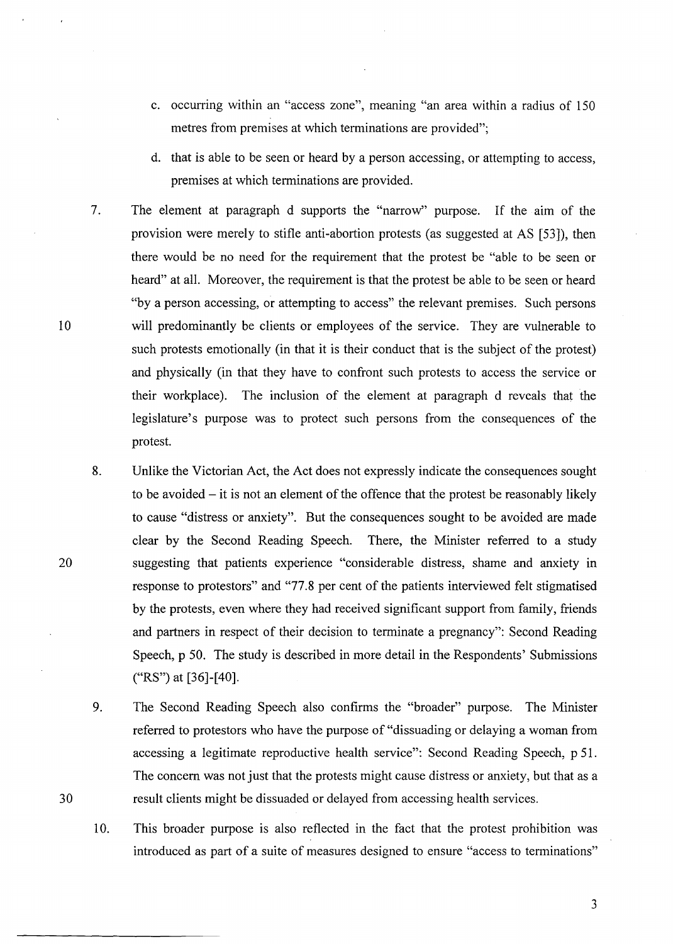- c. occurring within an "access zone", meaning "an area within a radius of 150 metres from premises at which terminations are provided";
- d. that is able to be seen or heard by a person accessing, or attempting to access, premises at which terminations are provided.
- 7. The element at paragraph d supports the "narrow" purpose. If the aim of the provision were merely to stifle anti-abortion protests (as suggested at AS [53]), then there would be no need for the requirement that the protest be "able to be seen or heard" at all. Moreover, the requirement is that the protest be able to be seen or heard "by a person accessing, or attempting to access" the relevant premises. Such persons will predominantly be clients or employees of the service. They are vulnerable to such protests emotionally (in that it is their conduct that is the subject of the protest) and physically (in that they have to confront such protests to access the service or their workplace). The inclusion of the element at paragraph d reveals that the legislature's purpose was to protect such persons from the consequences of the protest.
- 8. Unlike the Victorian Act, the Act does not expressly indicate the consequences sought to be avoided  $-$  it is not an element of the offence that the protest be reasonably likely to cause "distress or anxiety". But the consequences sought to be avoided are made clear by the Second Reading Speech. There, the Minister referred to a study suggesting that patients experience "considerable distress, shame and anxiety in response to protestors" and "77.8 per cent of the patients interviewed felt stigmatised by the protests, even where they had received significant support from family, friends and partners in respect of their decision to terminate a pregnancy": Second Reading Speech, p 50. The study is described in more detail in the Respondents' Submissions ("RS") at [36]-[40].
- 9. The Second Reading Speech also confirms the "broader" purpose. The Minister referred to protesters who have the purpose of "dissuading or delaying a woman from accessing a legitimate reproductive health service": Second Reading Speech, p 51. The concern was not just that the protests might cause distress or anxiety, but that as a result clients might be dissuaded or delayed from accessing health services.
- 10. This broader purpose is also reflected in the fact that the protest prohibition was introduced as part of a suite of measures designed to ensure "access to terminations"

10

20

30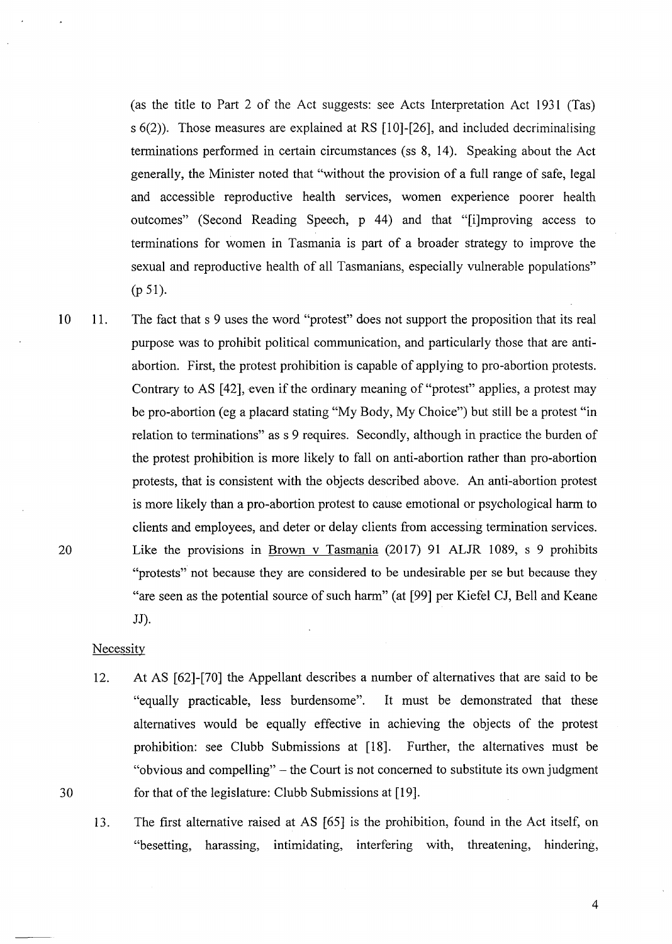(as the title to Part 2 of the Act suggests: see Acts Interpretation Act 1931 (Tas) s  $6(2)$ ). Those measures are explained at RS [10]-[26], and included decriminalising terminations performed in certain circumstances (ss 8, 14). Speaking about the Act generally, the Minister noted that "without the provision of a full range of safe, legal and accessible reproductive health services, women experience poorer health outcomes" (Second Reading Speech, p 44) and that "[i]mproving access to terminations for women in Tasmania is part of a broader strategy to improve the sexual and reproductive health of all Tasmanians, especially vulnerable populations" (p 51).

10 20 11. The fact that s 9 uses the word "protest" does not support the proposition that its real purpose was to prohibit political communication, and particularly those that are antiabortion. First, the protest prohibition is capable of applying to pro-abortion protests. Contrary to AS [42], even if the ordinary meaning of "protest" applies, a protest may be pro-abortion (eg a placard stating "My Body, My Choice") but still be a protest "in relation to terminations" ass 9 requires. Secondly, although in practice the burden of the protest prohibition is more likely to fall on anti-abortion rather than pro-abortion protests, that is consistent with the objects described above. An anti-abortion protest is more likely than a pro-abortion protest to cause emotional or psychological harm to clients and employees, and deter or delay clients from accessing termination services. Like the provisions in Brown v Tasmania (2017) 91 ALJR 1089, s 9 prohibits "protests" not because they are considered to be undesirable per se but because they "are seen as the potential source of such harm" (at [99] per Kiefel CJ, Bell and Keane JJ).

**Necessity** 

30

- 12. At AS [62]-[70] the Appellant describes a number of alternatives that are said to be "equally practicable, less burdensome". It must be demonstrated that these alternatives would be equally effective in achieving the objects of the protest prohibition: see Clubb Submissions at [18]. Further, the alternatives must be "obvious and compelling" – the Court is not concerned to substitute its own judgment for that of the legislature: Clubb Submissions at [19].
- 13. The first alternative raised at AS [65] is the prohibition, found in the Act itself, on "besetting, harassing, intimidating, interfering with, threatening, hindering,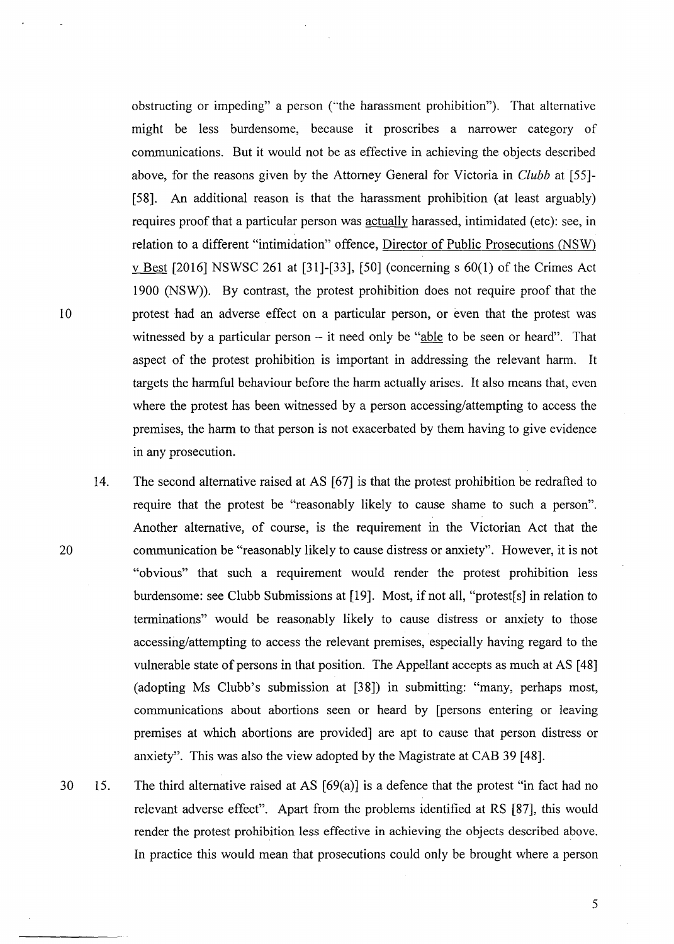obstructing or impeding" a person ("the harassment prohibition"). That alternative might be less burdensome, because it proscribes a narrower category of communications. But it would not be as effective in achieving the objects described above, for the reasons given by the Attorney General for Victoria in *Clubb* at [55]- [58]. An additional reason is that the harassment prohibition (at least arguably) requires proof that a particular person was actually harassed, intimidated ( etc ): see, in relation to a different "intimidation" offence, Director of Public Prosecutions (NSW) v Best [2016] NSWSC 261 at [31]-[33], [50] (concerning s 60(1) of the Crimes Act 1900 (NSW)). By contrast, the protest prohibition does not require proof that the protest had an adverse effect on a particular person, or even that the protest was witnessed by a particular person  $-$  it need only be "able to be seen or heard". That aspect of the protest prohibition is important in addressing the relevant harm. It targets the harmful behaviour before the harm actually arises. It also means that, even where the protest has been witnessed by a person accessing/attempting to access the premises, the harm to that person is not exacerbated by them having to give evidence in any prosecution.

- 14. The second alternative raised at AS [67] is that the protest prohibition be redrafted to require that the protest be "reasonably likely to cause shame to such a person". Another alternative, of course, is the requirement in the Victorian Act that the communication be "reasonably likely to cause distress or anxiety". However, it is not "obvious" that such a requirement would render the protest prohibition less burdensome: see Clubb Submissions at [19]. Most, if not all, "protest[s] in relation to terminations" would be reasonably likely to cause distress or anxiety to those accessing/attempting to access the relevant premises, especially having regard to the vulnerable state of persons in that position. The Appellant accepts as much at AS [ 48] (adopting Ms Clubb's submission at [38]) in submitting: "many, perhaps most, communications about abortions seen or heard by [persons entering or leaving premises at which abortions are provided] are apt to cause that person distress or anxiety". This was also the view adopted by the Magistrate at CAB 39 [48].
- 30 15. The third alternative raised at AS [69(a)] is a defence that the protest "in fact had no relevant adverse effect". Apart from the problems identified at RS [87], this would render the protest prohibition less effective in achieving the objects described above. In practice this would mean that prosecutions could only be brought where a person

10

20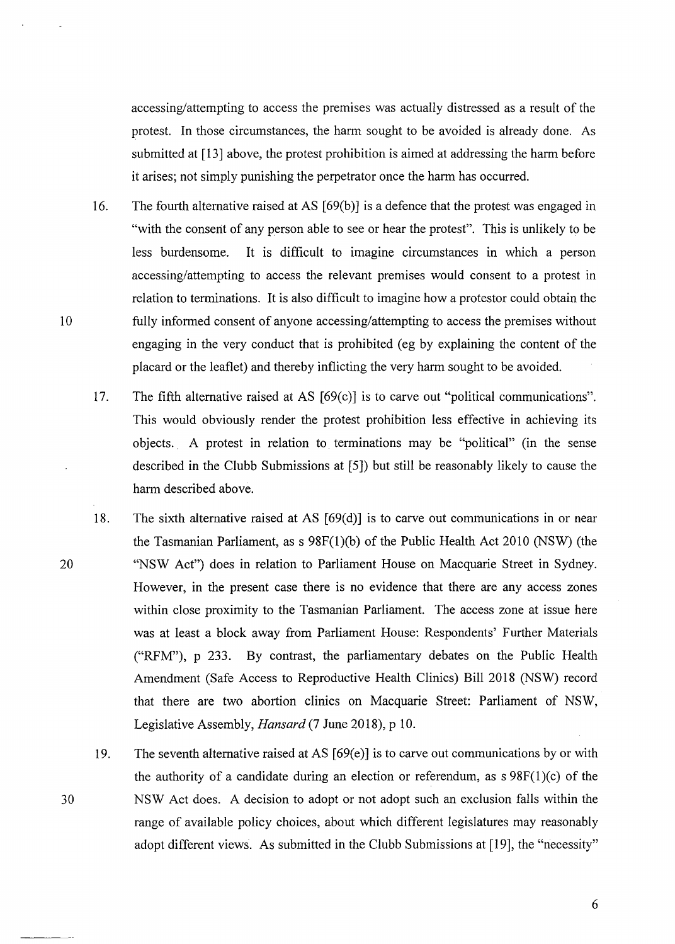accessing/attempting to access the premises was actually distressed as a result of the protest. In those circumstances, the harm sought to be avoided is already done. As submitted at [13] above, the protest prohibition is aimed at addressing the harm before it arises; not simply punishing the perpetrator once the harm has occurred.

16. The fourth alternative raised at AS [69(b)] is a defence that the protest was engaged in "with the consent of any person able to see or hear the protest". This is unlikely to be less burdensome. It is difficult to imagine circumstances in which a person accessing/attempting to access the relevant premises would consent to a protest in relation to terminations. It is also difficult to imagine how a protestor could obtain the fully informed consent of anyone accessing/attempting to access the premises without engaging in the very conduct that is prohibited (eg by explaining the content of the placard or the leaflet) and thereby inflicting the very harm sought to be avoided.

10

20

30

- 17. The fifth alternative raised at AS [69(c)] is to carve out "political communications". This would obviously render the protest prohibition less effective in achieving its objects. . A protest in relation to. terminations may be "political" (in the sense described in the Clubb Submissions at [5]) but still be reasonably likely to cause the harm described above.
- 18. The sixth alternative raised at AS [69(d)] is to carve out communications in or near the Tasmanian Parliament, as  $s$  98F(1)(b) of the Public Health Act 2010 (NSW) (the "NSW Act") does in relation to Parliament House on Macquarie Street in Sydney. However, in the present case there is no evidence that there are any access zones within close proximity to the Tasmanian Parliament. The access zone at issue here was at least a block away from Parliament House: Respondents' Further Materials ("RFM"), p 233. By contrast, the parliamentary debates on the Public Health Amendment (Safe Access to Reproductive Health Clinics) Bill 2018 (NSW) record that there are two abortion clinics on Macquarie Street: Parliament of NSW, Legislative Assembly, *Hansard* (7 June 2018), p 10.
- 19. The seventh alternative raised at AS [69(e)] is to carve out communications by or with the authority of a candidate during an election or referendum, as  $s\ 98F(1)(c)$  of the NSW Act does. A decision to adopt or not adopt such an exclusion falls within the range of available policy choices, about which different legislatures may reasonably adopt different views. As submitted in the Clubb Submissions at [19], the "necessity"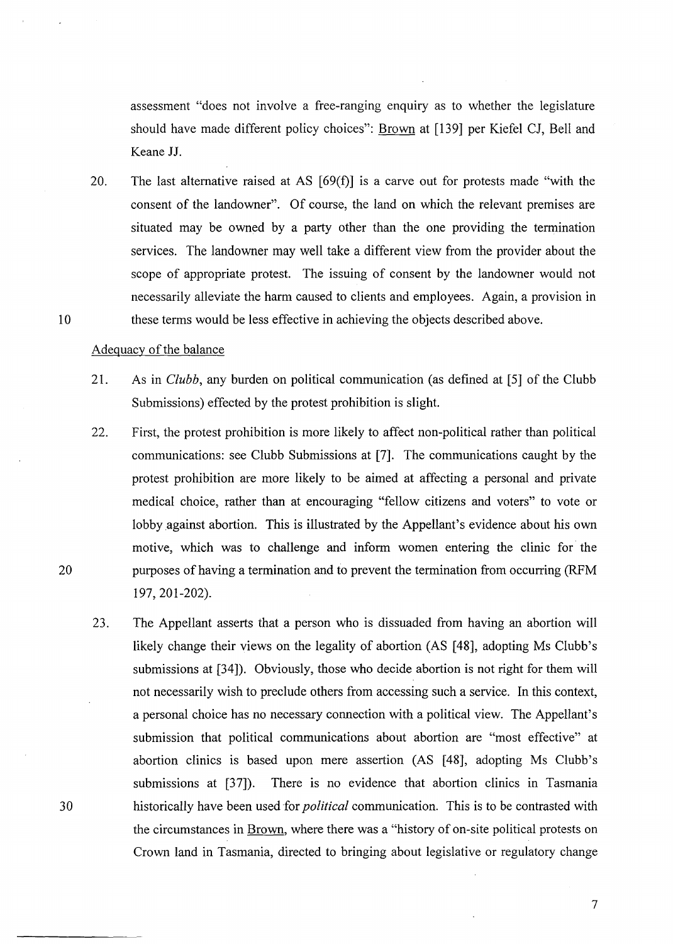assessment "does not involve a free-ranging enquiry as to whether the legislature should have made different policy choices": Brown at [139] per Kiefel CJ, Bell and Keane JJ.

20. The last alternative raised at AS  $[69(f)]$  is a carve out for protests made "with the consent of the landowner". Of course, the land on which the relevant premises are situated may be owned by a party other than the one providing the termination services. The landowner may well take a different view from the provider about the scope of appropriate protest. The issuing of consent by the landowner would not necessarily alleviate the harm caused to clients and employees. Again, a provision in these terms would be less effective in achieving the objects described above.

### Adequacy of the balance

10

20

- 21. As in *Clubb,* any burden on political communication (as defined at [5] of the Clubb Submissions) effected by the protest prohibition is slight.
- 22. First, the protest prohibition is more likely to affect non-political rather than political communications: see Clubb Submissions at [7]. The communications caught by the protest prohibition are more likely to be aimed at affecting a personal and private medical choice, rather than at encouraging "fellow citizens and voters" to vote or lobby against abortion. This is illustrated by the Appellant's evidence about his own motive, which was to challenge and inform women entering the clinic for the purposes of having a termination and to prevent the termination from occurring (RFM 197, 201-202).
- 23. The Appellant asserts that a person who is dissuaded from having an abortion will likely change their views on the legality of abortion (AS [48], adopting Ms Clubb's submissions at [34]). Obviously, those who decide abortion is not right for them will not necessarily wish to preclude others from accessing such a service. In this context, a personal choice has no necessary connection with a political view. The Appellant's submission that political communications about abortion are "most effective" at abortion clinics is based upon mere assertion (AS [48], adopting Ms Clubb's submissions at [37]). There is no evidence that abortion clinics in Tasmania historically have been used for *political* communication. This is to be contrasted with the circumstances in Brown, where there was a "history of on-site political protests on Crown land in Tasmania, directed to bringing about legislative or regulatory change